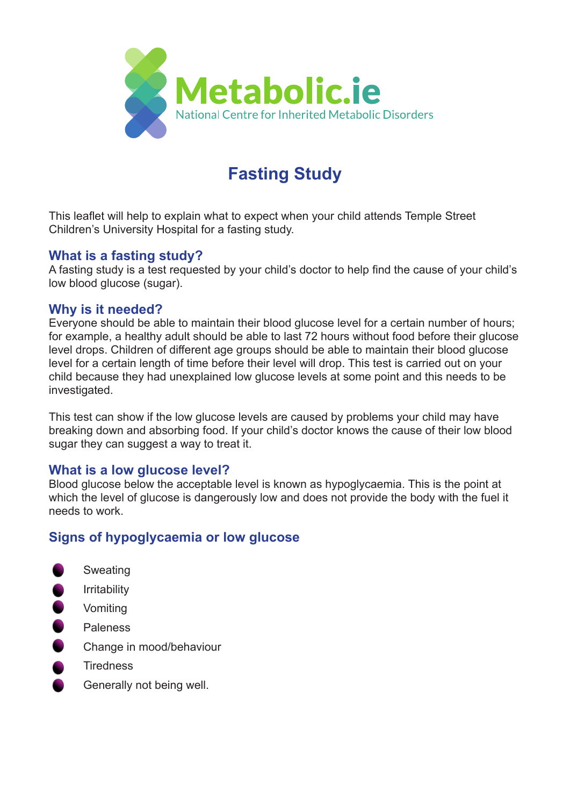

# **Fasting Study**

This leaflet will help to explain what to expect when your child attends Temple Street Children's University Hospital for a fasting study.

### **What is a fasting study?**

A fasting study is a test requested by your child's doctor to help find the cause of your child's low blood glucose (sugar).

#### **Why is it needed?**

Everyone should be able to maintain their blood glucose level for a certain number of hours; for example, a healthy adult should be able to last 72 hours without food before their glucose level drops. Children of different age groups should be able to maintain their blood glucose level for a certain length of time before their level will drop. This test is carried out on your child because they had unexplained low glucose levels at some point and this needs to be investigated.

This test can show if the low glucose levels are caused by problems your child may have breaking down and absorbing food. If your child's doctor knows the cause of their low blood sugar they can suggest a way to treat it.

# **What is a low glucose level?**

Blood glucose below the acceptable level is known as hypoglycaemia. This is the point at which the level of glucose is dangerously low and does not provide the body with the fuel it needs to work.

# **Signs of hypoglycaemia or low glucose**

- $\bullet$ Sweating
- $\bullet$ Irritability
- $\bullet$ Vomiting
- $\bullet$ Paleness
- $\bullet$ Change in mood/behaviour
- **Tiredness**
- Generally not being well.